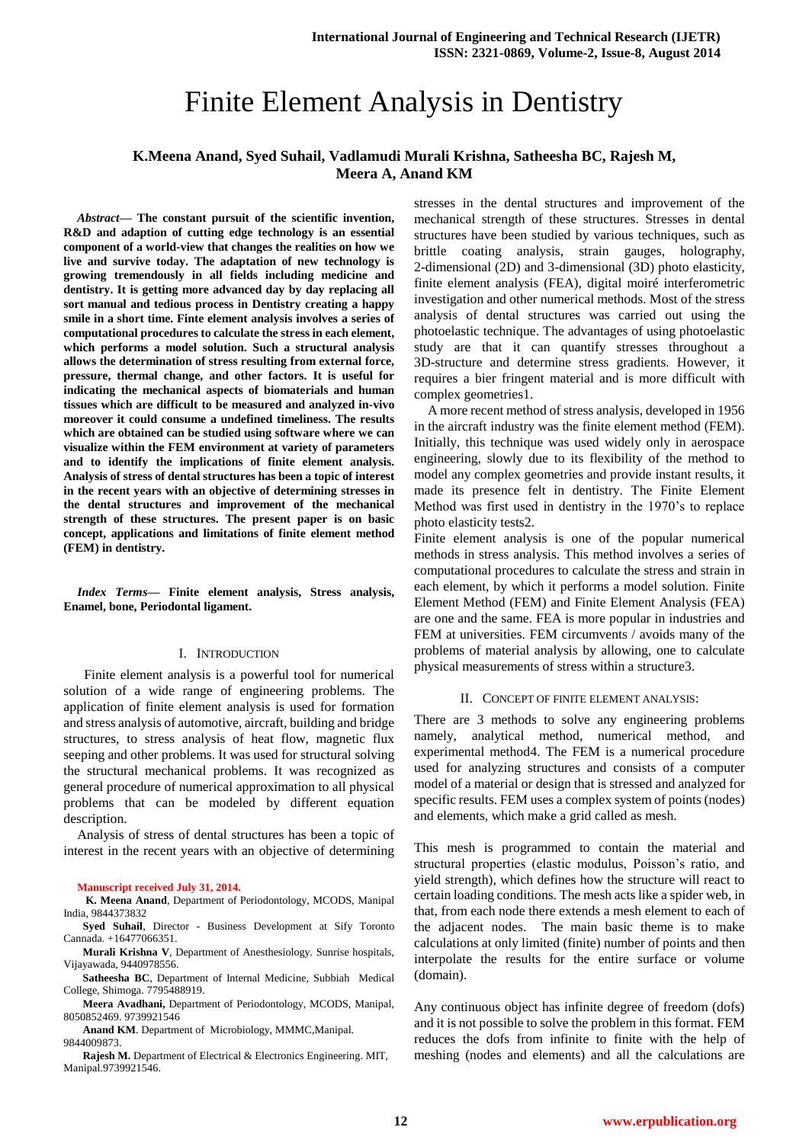# Finite Element Analysis in Dentistry

# **K.Meena Anand, Syed Suhail, Vadlamudi Murali Krishna, Satheesha BC, Rajesh M, Meera A, Anand KM**

*Abstract***— The constant pursuit of the scientific invention, R&D and adaption of cutting edge technology is an essential component of a world-view that changes the realities on how we live and survive today. The adaptation of new technology is growing tremendously in all fields including medicine and dentistry. It is getting more advanced day by day replacing all sort manual and tedious process in Dentistry creating a happy smile in a short time. Finte element analysis involves a series of computational procedures to calculate the stress in each element, which performs a model solution. Such a structural analysis allows the determination of stress resulting from external force, pressure, thermal change, and other factors. It is useful for indicating the mechanical aspects of biomaterials and human tissues which are difficult to be measured and analyzed in-vivo moreover it could consume a undefined timeliness. The results which are obtained can be studied using software where we can visualize within the FEM environment at variety of parameters and to identify the implications of finite element analysis. Analysis of stress of dental structures has been a topic of interest in the recent years with an objective of determining stresses in the dental structures and improvement of the mechanical strength of these structures. The present paper is on basic concept, applications and limitations of finite element method (FEM) in dentistry.**

*Index Terms***— Finite element analysis, Stress analysis, Enamel, bone, Periodontal ligament.**

#### I. INTRODUCTION

 Finite element analysis is a powerful tool for numerical solution of a wide range of engineering problems. The application of finite element analysis is used for formation and stress analysis of automotive, aircraft, building and bridge structures, to stress analysis of heat flow, magnetic flux seeping and other problems. It was used for structural solving the structural mechanical problems. It was recognized as general procedure of numerical approximation to all physical problems that can be modeled by different equation description.

Analysis of stress of dental structures has been a topic of interest in the recent years with an objective of determining

#### **Manuscript received July 31, 2014.**

**K. Meena Anand**, Department of Periodontology, MCODS, Manipal India, 9844373832

**Syed Suhail**, Director - Business Development at Sify Toronto Cannada. +16477066351.

**Murali Krishna V**, Department of Anesthesiology. Sunrise hospitals, Vijayawada, 9440978556.

**Satheesha BC**, Department of Internal Medicine, Subbiah Medical College, Shimoga. 7795488919.

**Meera Avadhani,** Department of Periodontology, MCODS, Manipal, 8050852469. 9739921546

**Anand KM**. Department of Microbiology, MMMC,Manipal. 9844009873.

**Rajesh M.** Department of Electrical & Electronics Engineering. MIT, Manipal.9739921546.

stresses in the dental structures and improvement of the mechanical strength of these structures. Stresses in dental structures have been studied by various techniques, such as brittle coating analysis, strain gauges, holography, 2-dimensional (2D) and 3-dimensional (3D) photo elasticity, finite element analysis (FEA), digital moiré interferometric investigation and other numerical methods. Most of the stress analysis of dental structures was carried out using the photoelastic technique. The advantages of using photoelastic study are that it can quantify stresses throughout a 3D-structure and determine stress gradients. However, it requires a bier fringent material and is more difficult with complex geometries1.

A more recent method of stress analysis, developed in 1956 in the aircraft industry was the finite element method (FEM). Initially, this technique was used widely only in aerospace engineering, slowly due to its flexibility of the method to model any complex geometries and provide instant results, it made its presence felt in dentistry. The Finite Element Method was first used in dentistry in the 1970"s to replace photo elasticity tests2.

Finite element analysis is one of the popular numerical methods in stress analysis. This method involves a series of computational procedures to calculate the stress and strain in each element, by which it performs a model solution. Finite Element Method (FEM) and Finite Element Analysis (FEA) are one and the same. FEA is more popular in industries and FEM at universities. FEM circumvents / avoids many of the problems of material analysis by allowing, one to calculate physical measurements of stress within a structure3.

#### II. CONCEPT OF FINITE ELEMENT ANALYSIS:

There are 3 methods to solve any engineering problems namely, analytical method, numerical method, and experimental method4. The FEM is a numerical procedure used for analyzing structures and consists of a computer model of a material or design that is stressed and analyzed for specific results. FEM uses a complex system of points (nodes) and elements, which make a grid called as mesh.

This mesh is programmed to contain the material and structural properties (elastic modulus, Poisson"s ratio, and yield strength), which defines how the structure will react to certain loading conditions. The mesh acts like a spider web, in that, from each node there extends a mesh element to each of the adjacent nodes. The main basic theme is to make calculations at only limited (finite) number of points and then interpolate the results for the entire surface or volume (domain).

Any continuous object has infinite degree of freedom (dofs) and it is not possible to solve the problem in this format. FEM reduces the dofs from infinite to finite with the help of meshing (nodes and elements) and all the calculations are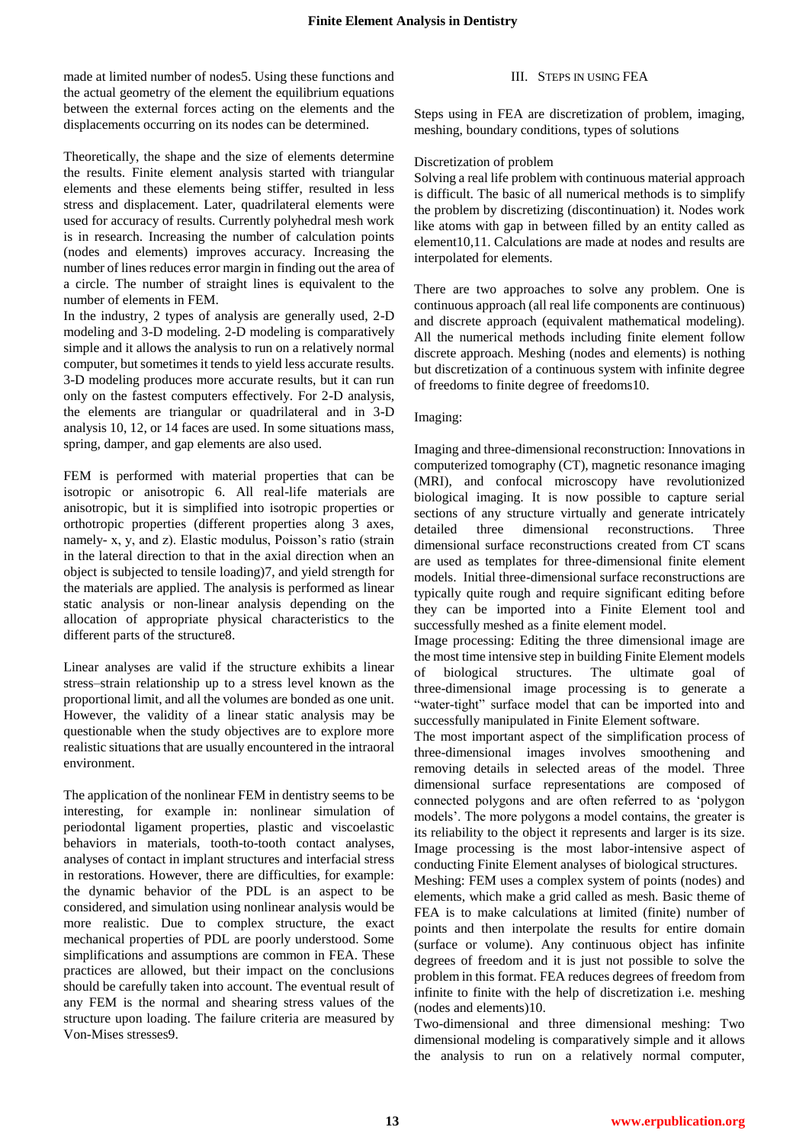made at limited number of nodes5. Using these functions and the actual geometry of the element the equilibrium equations between the external forces acting on the elements and the displacements occurring on its nodes can be determined.

Theoretically, the shape and the size of elements determine the results. Finite element analysis started with triangular elements and these elements being stiffer, resulted in less stress and displacement. Later, quadrilateral elements were used for accuracy of results. Currently polyhedral mesh work is in research. Increasing the number of calculation points (nodes and elements) improves accuracy. Increasing the number of lines reduces error margin in finding out the area of a circle. The number of straight lines is equivalent to the number of elements in FEM.

In the industry, 2 types of analysis are generally used, 2-D modeling and 3-D modeling. 2-D modeling is comparatively simple and it allows the analysis to run on a relatively normal computer, but sometimes it tends to yield less accurate results. 3-D modeling produces more accurate results, but it can run only on the fastest computers effectively. For 2-D analysis, the elements are triangular or quadrilateral and in 3-D analysis 10, 12, or 14 faces are used. In some situations mass, spring, damper, and gap elements are also used.

FEM is performed with material properties that can be isotropic or anisotropic 6. All real-life materials are anisotropic, but it is simplified into isotropic properties or orthotropic properties (different properties along 3 axes, namely- x, y, and z). Elastic modulus, Poisson's ratio (strain in the lateral direction to that in the axial direction when an object is subjected to tensile loading)7, and yield strength for the materials are applied. The analysis is performed as linear static analysis or non-linear analysis depending on the allocation of appropriate physical characteristics to the different parts of the structure8.

Linear analyses are valid if the structure exhibits a linear stress–strain relationship up to a stress level known as the proportional limit, and all the volumes are bonded as one unit. However, the validity of a linear static analysis may be questionable when the study objectives are to explore more realistic situations that are usually encountered in the intraoral environment.

The application of the nonlinear FEM in dentistry seems to be interesting, for example in: nonlinear simulation of periodontal ligament properties, plastic and viscoelastic behaviors in materials, tooth-to-tooth contact analyses, analyses of contact in implant structures and interfacial stress in restorations. However, there are difficulties, for example: the dynamic behavior of the PDL is an aspect to be considered, and simulation using nonlinear analysis would be more realistic. Due to complex structure, the exact mechanical properties of PDL are poorly understood. Some simplifications and assumptions are common in FEA. These practices are allowed, but their impact on the conclusions should be carefully taken into account. The eventual result of any FEM is the normal and shearing stress values of the structure upon loading. The failure criteria are measured by Von-Mises stresses9.

# III. STEPS IN USING FEA

Steps using in FEA are discretization of problem, imaging, meshing, boundary conditions, types of solutions

### Discretization of problem

Solving a real life problem with continuous material approach is difficult. The basic of all numerical methods is to simplify the problem by discretizing (discontinuation) it. Nodes work like atoms with gap in between filled by an entity called as element10,11. Calculations are made at nodes and results are interpolated for elements.

There are two approaches to solve any problem. One is continuous approach (all real life components are continuous) and discrete approach (equivalent mathematical modeling). All the numerical methods including finite element follow discrete approach. Meshing (nodes and elements) is nothing but discretization of a continuous system with infinite degree of freedoms to finite degree of freedoms10.

### Imaging:

Imaging and three-dimensional reconstruction: Innovations in computerized tomography (CT), magnetic resonance imaging (MRI), and confocal microscopy have revolutionized biological imaging. It is now possible to capture serial sections of any structure virtually and generate intricately detailed three dimensional reconstructions. Three dimensional surface reconstructions created from CT scans are used as templates for three-dimensional finite element models. Initial three-dimensional surface reconstructions are typically quite rough and require significant editing before they can be imported into a Finite Element tool and successfully meshed as a finite element model.

Image processing: Editing the three dimensional image are the most time intensive step in building Finite Element models of biological structures. The ultimate goal of three-dimensional image processing is to generate a "water-tight" surface model that can be imported into and successfully manipulated in Finite Element software.

The most important aspect of the simplification process of three-dimensional images involves smoothening and removing details in selected areas of the model. Three dimensional surface representations are composed of connected polygons and are often referred to as "polygon models'. The more polygons a model contains, the greater is its reliability to the object it represents and larger is its size. Image processing is the most labor-intensive aspect of conducting Finite Element analyses of biological structures.

Meshing: FEM uses a complex system of points (nodes) and elements, which make a grid called as mesh. Basic theme of FEA is to make calculations at limited (finite) number of points and then interpolate the results for entire domain (surface or volume). Any continuous object has infinite degrees of freedom and it is just not possible to solve the problem in this format. FEA reduces degrees of freedom from infinite to finite with the help of discretization i.e. meshing (nodes and elements)10.

Two-dimensional and three dimensional meshing: Two dimensional modeling is comparatively simple and it allows the analysis to run on a relatively normal computer,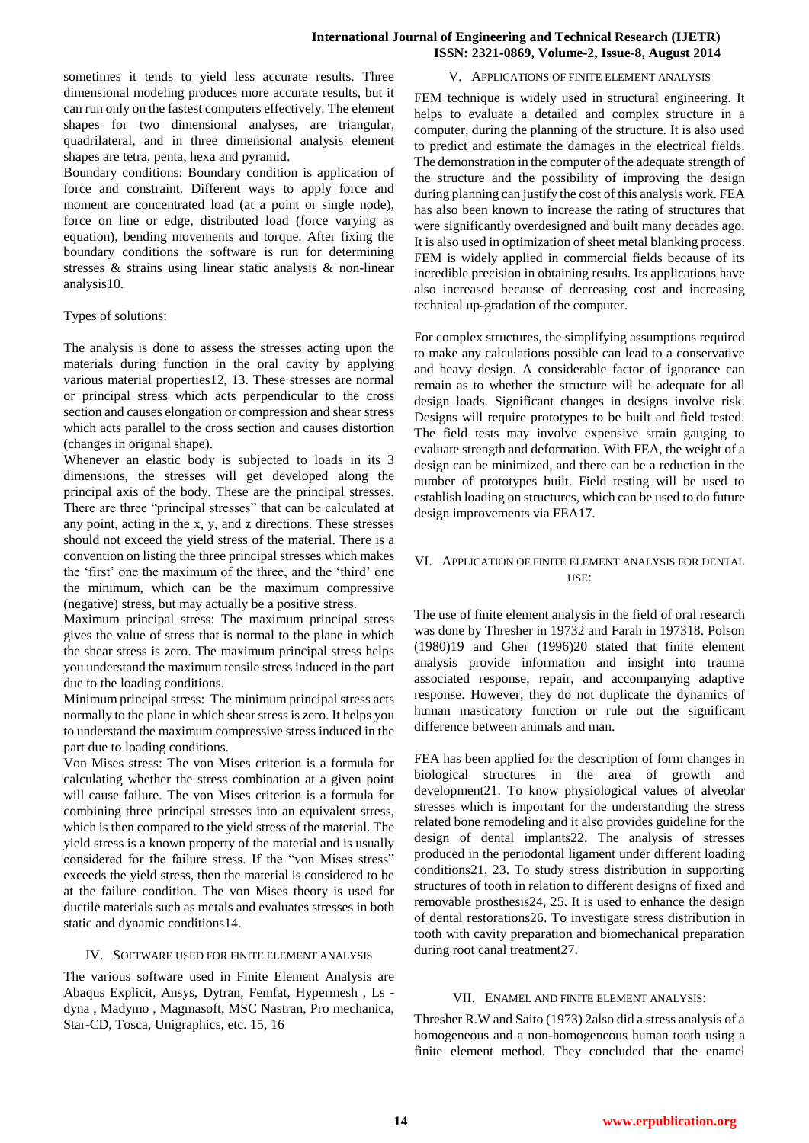## **International Journal of Engineering and Technical Research (IJETR) ISSN: 2321-0869, Volume-2, Issue-8, August 2014**

sometimes it tends to yield less accurate results. Three dimensional modeling produces more accurate results, but it can run only on the fastest computers effectively. The element shapes for two dimensional analyses, are triangular, quadrilateral, and in three dimensional analysis element shapes are tetra, penta, hexa and pyramid.

Boundary conditions: Boundary condition is application of force and constraint. Different ways to apply force and moment are concentrated load (at a point or single node), force on line or edge, distributed load (force varying as equation), bending movements and torque. After fixing the boundary conditions the software is run for determining stresses & strains using linear static analysis & non-linear analysis10.

### Types of solutions:

The analysis is done to assess the stresses acting upon the materials during function in the oral cavity by applying various material properties12, 13. These stresses are normal or principal stress which acts perpendicular to the cross section and causes elongation or compression and shear stress which acts parallel to the cross section and causes distortion (changes in original shape).

Whenever an elastic body is subjected to loads in its 3 dimensions, the stresses will get developed along the principal axis of the body. These are the principal stresses. There are three "principal stresses" that can be calculated at any point, acting in the x, y, and z directions. These stresses should not exceed the yield stress of the material. There is a convention on listing the three principal stresses which makes the "first" one the maximum of the three, and the "third" one the minimum, which can be the maximum compressive (negative) stress, but may actually be a positive stress.

Maximum principal stress: The maximum principal stress gives the value of stress that is normal to the plane in which the shear stress is zero. The maximum principal stress helps you understand the maximum tensile stress induced in the part due to the loading conditions.

Minimum principal stress: The minimum principal stress acts normally to the plane in which shear stress is zero. It helps you to understand the maximum compressive stress induced in the part due to loading conditions.

Von Mises stress: The von Mises criterion is a formula for calculating whether the stress combination at a given point will cause failure. The von Mises criterion is a formula for combining three principal stresses into an equivalent stress, which is then compared to the yield stress of the material. The yield stress is a known property of the material and is usually considered for the failure stress. If the "von Mises stress" exceeds the yield stress, then the material is considered to be at the failure condition. The von Mises theory is used for ductile materials such as metals and evaluates stresses in both static and dynamic conditions14.

### IV. SOFTWARE USED FOR FINITE ELEMENT ANALYSIS

The various software used in Finite Element Analysis are Abaqus Explicit, Ansys, Dytran, Femfat, Hypermesh , Ls dyna , Madymo , Magmasoft, MSC Nastran, Pro mechanica, Star-CD, Tosca, Unigraphics, etc. 15, 16

# V. APPLICATIONS OF FINITE ELEMENT ANALYSIS

FEM technique is widely used in structural engineering. It helps to evaluate a detailed and complex structure in a computer, during the planning of the structure. It is also used to predict and estimate the damages in the electrical fields. The demonstration in the computer of the adequate strength of the structure and the possibility of improving the design during planning can justify the cost of this analysis work. FEA has also been known to increase the rating of structures that were significantly overdesigned and built many decades ago. It is also used in optimization of sheet metal blanking process. FEM is widely applied in commercial fields because of its incredible precision in obtaining results. Its applications have also increased because of decreasing cost and increasing technical up-gradation of the computer.

For complex structures, the simplifying assumptions required to make any calculations possible can lead to a conservative and heavy design. A considerable factor of ignorance can remain as to whether the structure will be adequate for all design loads. Significant changes in designs involve risk. Designs will require prototypes to be built and field tested. The field tests may involve expensive strain gauging to evaluate strength and deformation. With FEA, the weight of a design can be minimized, and there can be a reduction in the number of prototypes built. Field testing will be used to establish loading on structures, which can be used to do future design improvements via FEA17.

# VI. APPLICATION OF FINITE ELEMENT ANALYSIS FOR DENTAL USE:

The use of finite element analysis in the field of oral research was done by Thresher in 19732 and Farah in 197318. Polson (1980)19 and Gher (1996)20 stated that finite element analysis provide information and insight into trauma associated response, repair, and accompanying adaptive response. However, they do not duplicate the dynamics of human masticatory function or rule out the significant difference between animals and man.

FEA has been applied for the description of form changes in biological structures in the area of growth and development21. To know physiological values of alveolar stresses which is important for the understanding the stress related bone remodeling and it also provides guideline for the design of dental implants22. The analysis of stresses produced in the periodontal ligament under different loading conditions21, 23. To study stress distribution in supporting structures of tooth in relation to different designs of fixed and removable prosthesis24, 25. It is used to enhance the design of dental restorations26. To investigate stress distribution in tooth with cavity preparation and biomechanical preparation during root canal treatment27.

### VII. ENAMEL AND FINITE ELEMENT ANALYSIS:

Thresher R.W and Saito (1973) 2also did a stress analysis of a homogeneous and a non-homogeneous human tooth using a finite element method. They concluded that the enamel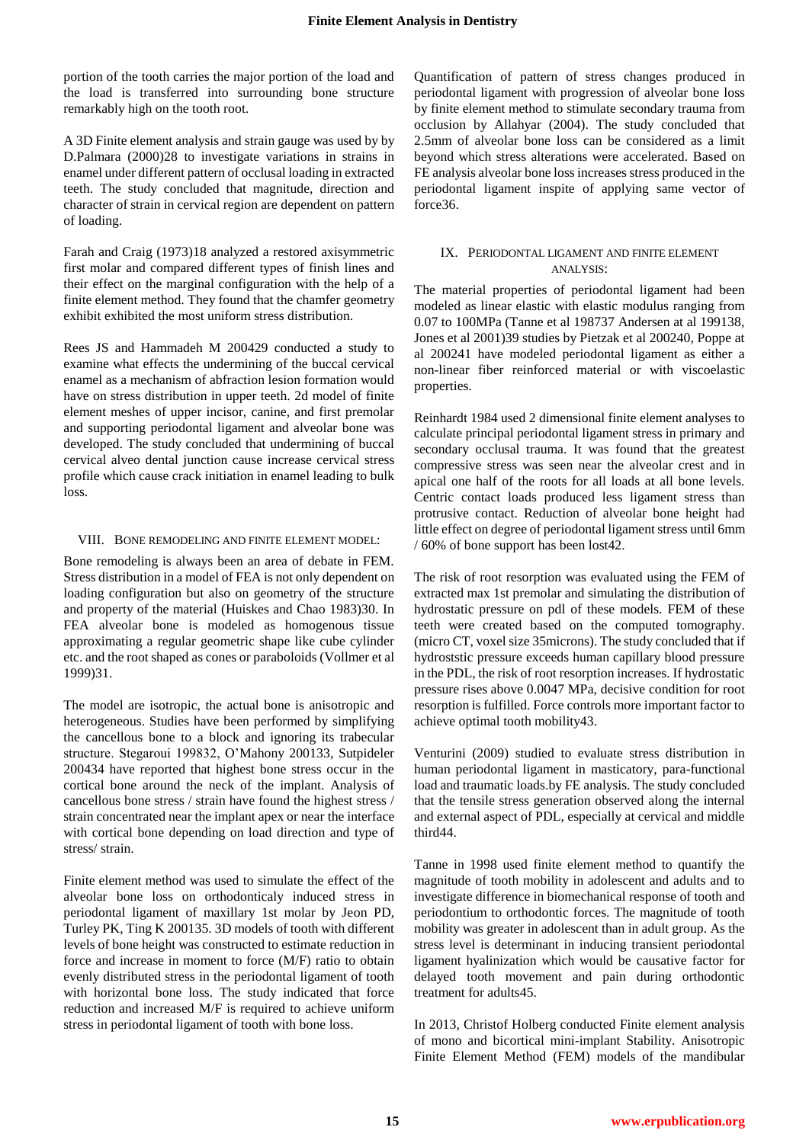portion of the tooth carries the major portion of the load and the load is transferred into surrounding bone structure remarkably high on the tooth root.

A 3D Finite element analysis and strain gauge was used by by D.Palmara (2000)28 to investigate variations in strains in enamel under different pattern of occlusal loading in extracted teeth. The study concluded that magnitude, direction and character of strain in cervical region are dependent on pattern of loading.

Farah and Craig (1973)18 analyzed a restored axisymmetric first molar and compared different types of finish lines and their effect on the marginal configuration with the help of a finite element method. They found that the chamfer geometry exhibit exhibited the most uniform stress distribution.

Rees JS and Hammadeh M 200429 conducted a study to examine what effects the undermining of the buccal cervical enamel as a mechanism of abfraction lesion formation would have on stress distribution in upper teeth. 2d model of finite element meshes of upper incisor, canine, and first premolar and supporting periodontal ligament and alveolar bone was developed. The study concluded that undermining of buccal cervical alveo dental junction cause increase cervical stress profile which cause crack initiation in enamel leading to bulk loss.

#### VIII. BONE REMODELING AND FINITE ELEMENT MODEL:

Bone remodeling is always been an area of debate in FEM. Stress distribution in a model of FEA is not only dependent on loading configuration but also on geometry of the structure and property of the material (Huiskes and Chao 1983)30. In FEA alveolar bone is modeled as homogenous tissue approximating a regular geometric shape like cube cylinder etc. and the root shaped as cones or paraboloids (Vollmer et al 1999)31.

The model are isotropic, the actual bone is anisotropic and heterogeneous. Studies have been performed by simplifying the cancellous bone to a block and ignoring its trabecular structure. Stegaroui 199832, O"Mahony 200133, Sutpideler 200434 have reported that highest bone stress occur in the cortical bone around the neck of the implant. Analysis of cancellous bone stress / strain have found the highest stress / strain concentrated near the implant apex or near the interface with cortical bone depending on load direction and type of stress/ strain.

Finite element method was used to simulate the effect of the alveolar bone loss on orthodonticaly induced stress in periodontal ligament of maxillary 1st molar by Jeon PD, Turley PK, Ting K 200135. 3D models of tooth with different levels of bone height was constructed to estimate reduction in force and increase in moment to force (M/F) ratio to obtain evenly distributed stress in the periodontal ligament of tooth with horizontal bone loss. The study indicated that force reduction and increased M/F is required to achieve uniform stress in periodontal ligament of tooth with bone loss.

Quantification of pattern of stress changes produced in periodontal ligament with progression of alveolar bone loss by finite element method to stimulate secondary trauma from occlusion by Allahyar (2004). The study concluded that 2.5mm of alveolar bone loss can be considered as a limit beyond which stress alterations were accelerated. Based on FE analysis alveolar bone loss increases stress produced in the periodontal ligament inspite of applying same vector of force36.

# IX. PERIODONTAL LIGAMENT AND FINITE ELEMENT ANALYSIS:

The material properties of periodontal ligament had been modeled as linear elastic with elastic modulus ranging from 0.07 to 100MPa (Tanne et al 198737 Andersen at al 199138, Jones et al 2001)39 studies by Pietzak et al 200240, Poppe at al 200241 have modeled periodontal ligament as either a non-linear fiber reinforced material or with viscoelastic properties.

Reinhardt 1984 used 2 dimensional finite element analyses to calculate principal periodontal ligament stress in primary and secondary occlusal trauma. It was found that the greatest compressive stress was seen near the alveolar crest and in apical one half of the roots for all loads at all bone levels. Centric contact loads produced less ligament stress than protrusive contact. Reduction of alveolar bone height had little effect on degree of periodontal ligament stress until 6mm / 60% of bone support has been lost42.

The risk of root resorption was evaluated using the FEM of extracted max 1st premolar and simulating the distribution of hydrostatic pressure on pdl of these models. FEM of these teeth were created based on the computed tomography. (micro CT, voxel size 35microns). The study concluded that if hydroststic pressure exceeds human capillary blood pressure in the PDL, the risk of root resorption increases. If hydrostatic pressure rises above 0.0047 MPa, decisive condition for root resorption is fulfilled. Force controls more important factor to achieve optimal tooth mobility43.

Venturini (2009) studied to evaluate stress distribution in human periodontal ligament in masticatory, para-functional load and traumatic loads.by FE analysis. The study concluded that the tensile stress generation observed along the internal and external aspect of PDL, especially at cervical and middle third44.

Tanne in 1998 used finite element method to quantify the magnitude of tooth mobility in adolescent and adults and to investigate difference in biomechanical response of tooth and periodontium to orthodontic forces. The magnitude of tooth mobility was greater in adolescent than in adult group. As the stress level is determinant in inducing transient periodontal ligament hyalinization which would be causative factor for delayed tooth movement and pain during orthodontic treatment for adults45.

In 2013, Christof Holberg conducted Finite element analysis of mono and bicortical mini-implant Stability. Anisotropic Finite Element Method (FEM) models of the mandibular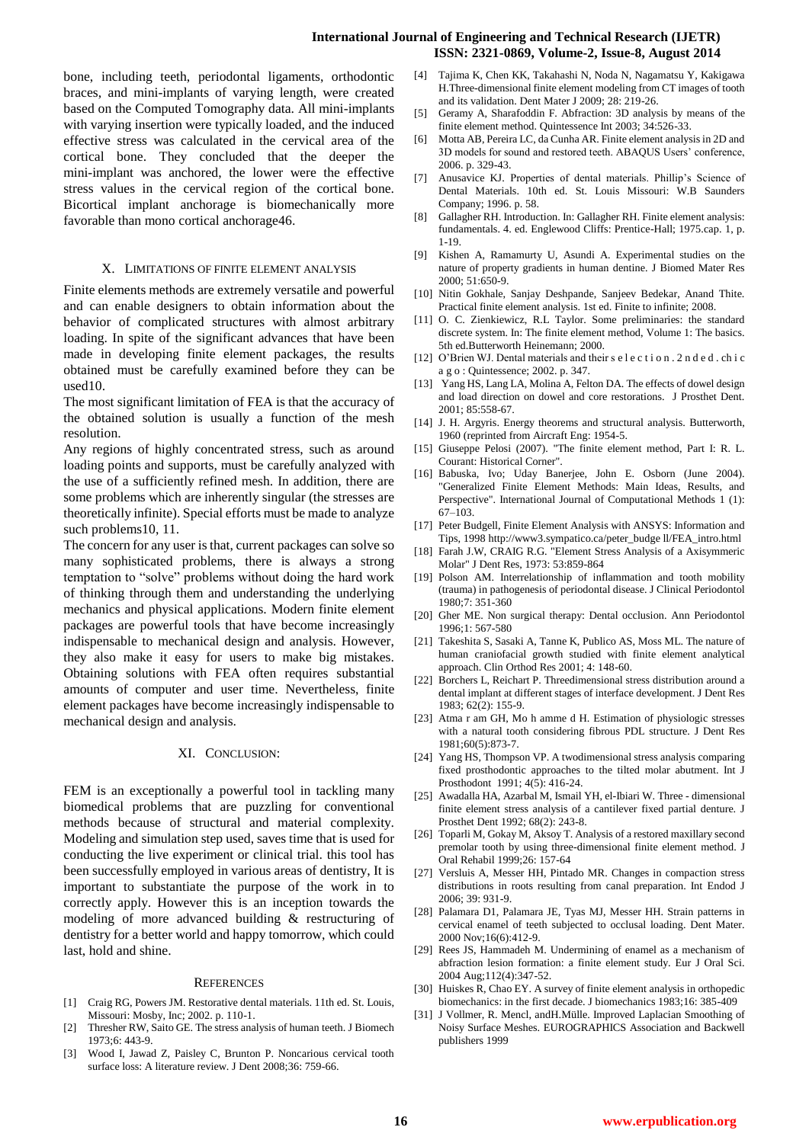bone, including teeth, periodontal ligaments, orthodontic braces, and mini-implants of varying length, were created based on the Computed Tomography data. All mini-implants with varying insertion were typically loaded, and the induced effective stress was calculated in the cervical area of the cortical bone. They concluded that the deeper the mini-implant was anchored, the lower were the effective stress values in the cervical region of the cortical bone. Bicortical implant anchorage is biomechanically more favorable than mono cortical anchorage46.

#### X. LIMITATIONS OF FINITE ELEMENT ANALYSIS

Finite elements methods are extremely versatile and powerful and can enable designers to obtain information about the behavior of complicated structures with almost arbitrary loading. In spite of the significant advances that have been made in developing finite element packages, the results obtained must be carefully examined before they can be used10.

The most significant limitation of FEA is that the accuracy of the obtained solution is usually a function of the mesh resolution.

Any regions of highly concentrated stress, such as around loading points and supports, must be carefully analyzed with the use of a sufficiently refined mesh. In addition, there are some problems which are inherently singular (the stresses are theoretically infinite). Special efforts must be made to analyze such problems10, 11.

The concern for any user is that, current packages can solve so many sophisticated problems, there is always a strong temptation to "solve" problems without doing the hard work of thinking through them and understanding the underlying mechanics and physical applications. Modern finite element packages are powerful tools that have become increasingly indispensable to mechanical design and analysis. However, they also make it easy for users to make big mistakes. Obtaining solutions with FEA often requires substantial amounts of computer and user time. Nevertheless, finite element packages have become increasingly indispensable to mechanical design and analysis.

#### XI. CONCLUSION:

FEM is an exceptionally a powerful tool in tackling many biomedical problems that are puzzling for conventional methods because of structural and material complexity. Modeling and simulation step used, saves time that is used for conducting the live experiment or clinical trial. this tool has been successfully employed in various areas of dentistry, It is important to substantiate the purpose of the work in to correctly apply. However this is an inception towards the modeling of more advanced building & restructuring of dentistry for a better world and happy tomorrow, which could last, hold and shine.

#### **REFERENCES**

- [1] Craig RG, Powers JM. Restorative dental materials. 11th ed. St. Louis, Missouri: Mosby, Inc; 2002. p. 110-1.
- [2] Thresher RW, Saito GE. The stress analysis of human teeth. J Biomech 1973;6: 443-9.
- [3] Wood I, Jawad Z, Paisley C, Brunton P. Noncarious cervical tooth surface loss: A literature review. J Dent 2008;36: 759-66.

[4] Tajima K, Chen KK, Takahashi N, Noda N, Nagamatsu Y, Kakigawa H.Three-dimensional finite element modeling from CT images of tooth and its validation. Dent Mater J 2009; 28: 219-26.

- [5] Geramy A, Sharafoddin F. Abfraction: 3D analysis by means of the finite element method. Quintessence Int 2003; 34:526-33.
- [6] Motta AB, Pereira LC, da Cunha AR. Finite element analysis in 2D and 3D models for sound and restored teeth. ABAQUS Users" conference, 2006. p. 329-43.
- [7] Anusavice KJ. Properties of dental materials. Phillip's Science of Dental Materials. 10th ed. St. Louis Missouri: W.B Saunders Company; 1996. p. 58.
- [8] Gallagher RH. Introduction. In: Gallagher RH. Finite element analysis: fundamentals. 4. ed. Englewood Cliffs: Prentice-Hall; 1975.cap. 1, p. 1-19.
- [9] Kishen A, Ramamurty U, Asundi A. Experimental studies on the nature of property gradients in human dentine. J Biomed Mater Res 2000; 51:650-9.
- [10] Nitin Gokhale, Sanjay Deshpande, Sanjeev Bedekar, Anand Thite. Practical finite element analysis. 1st ed. Finite to infinite; 2008.
- [11] O. C. Zienkiewicz, R.L Taylor. Some preliminaries: the standard discrete system. In: The finite element method, Volume 1: The basics. 5th ed.Butterworth Heinemann; 2000.
- [12] O"Brien WJ. Dental materials and their s e l e c t i o n . 2 n d e d . ch i c a g o : Quintessence; 2002. p. 347.
- [13] Yang HS, Lang LA, Molina A, Felton DA. The effects of dowel design and load direction on dowel and core restorations. J Prosthet Dent. 2001; 85:558-67.
- [14] J. H. Argyris. Energy theorems and structural analysis. Butterworth, 1960 (reprinted from Aircraft Eng: 1954-5.
- [15] Giuseppe Pelosi (2007). "The finite element method, Part I: R. L. Courant: Historical Corner".
- [16] Babuska, Ivo; Uday Banerjee, John E. Osborn (June 2004). "Generalized Finite Element Methods: Main Ideas, Results, and Perspective". International Journal of Computational Methods 1 (1): 67–103.
- [17] Peter Budgell, Finite Element Analysis with ANSYS: Information and Tips, 1998 http://www3.sympatico.ca/peter\_budge ll/FEA\_intro.html
- [18] Farah J.W, CRAIG R.G. "Element Stress Analysis of a Axisymmeric Molar" J Dent Res, 1973: 53:859-864
- [19] Polson AM. Interrelationship of inflammation and tooth mobility (trauma) in pathogenesis of periodontal disease. J Clinical Periodontol 1980;7: 351-360
- [20] Gher ME. Non surgical therapy: Dental occlusion. Ann Periodontol 1996;1: 567-580
- [21] Takeshita S, Sasaki A, Tanne K, Publico AS, Moss ML. The nature of human craniofacial growth studied with finite element analytical approach. Clin Orthod Res 2001; 4: 148-60.
- [22] Borchers L, Reichart P. Threedimensional stress distribution around a dental implant at different stages of interface development. J Dent Res 1983; 62(2): 155-9.
- [23] Atma r am GH, Mo h amme d H. Estimation of physiologic stresses with a natural tooth considering fibrous PDL structure. J Dent Res 1981;60(5):873-7.
- [24] Yang HS, Thompson VP. A twodimensional stress analysis comparing fixed prosthodontic approaches to the tilted molar abutment. Int J Prosthodont 1991; 4(5): 416-24.
- [25] Awadalla HA, Azarbal M, Ismail YH, el-Ibiari W. Three dimensional finite element stress analysis of a cantilever fixed partial denture. J Prosthet Dent 1992; 68(2): 243-8.
- [26] Toparli M, Gokay M, Aksoy T. Analysis of a restored maxillary second premolar tooth by using three-dimensional finite element method. J Oral Rehabil 1999;26: 157-64
- [27] Versluis A, Messer HH, Pintado MR, Changes in compaction stress distributions in roots resulting from canal preparation. Int Endod J 2006; 39: 931-9.
- [28] Palamara D1, Palamara JE, Tyas MJ, Messer HH. Strain patterns in cervical enamel of teeth subjected to occlusal loading. Dent Mater. 2000 Nov;16(6):412-9.
- [29] Rees JS, Hammadeh M. Undermining of enamel as a mechanism of abfraction lesion formation: a finite element study. Eur J Oral Sci. 2004 Aug;112(4):347-52.
- [30] Huiskes R, Chao EY. A survey of finite element analysis in orthopedic biomechanics: in the first decade. J biomechanics 1983;16: 385-409
- [31] J Vollmer, R. Mencl, andH.Mülle. Improved Laplacian Smoothing of Noisy Surface Meshes. EUROGRAPHICS Association and Backwell publishers 1999